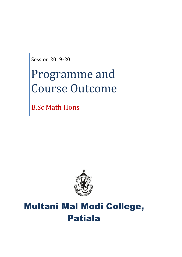Session 2019-20

# Programme and Course Outcome

B.Sc Math Hons



# Multani Mal Modi College, Patiala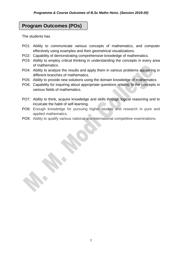# **Program Outcomes (POs)**

The students has

- PO1: Ability to communicate various concepts of mathematics, and computer effectively using examples and their geometrical visualizations.
- PO2: Capability of demonstrating comprehensive knowledge of mathematics.
- PO3: Ability to employ critical thinking in understanding the concepts in every area of mathematics.
- PO4: Ability to analyze the results and apply them in various problems appearing in different branches of mathematics.
- PO5: Ability to provide new solutions using the domain knowledge of mathematics
- PO6: Capability for inquiring about appropriate questions relating to the concepts in various fields of mathematics.
- PO7: Ability to think, acquire knowledge and skills through logical reasoning and to inculcate the habit of self-learning.
- PO8: Enough knowledge for pursuing higher studies and research in pure and applied mathematics.
- PO9: Ability to qualify various national and international competitive examinations.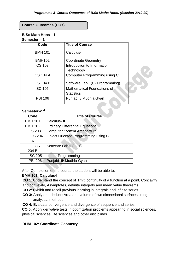## **Course Outcomes (COs)**

# **B.Sc Math Hons – I**

## **Semester – 1**

| Code            | <b>Title of Course</b>          |
|-----------------|---------------------------------|
| <b>BMH 101</b>  | Calculus-1                      |
| <b>BMH102</b>   | <b>Coordinate Geometry</b>      |
| CS 103          | Introduction to Information     |
|                 | Technology                      |
| <b>CS 104 A</b> | Computer Programming using C    |
| <b>CS 104 B</b> | Software Lab I (C- Programming) |
| SC 105          | Mathematical Foundations of     |
|                 | <b>Statistics</b>               |
| <b>PBI 106</b>  | Punjabi I/ Mudhla Gyan          |

#### Semester-2<sup>nd</sup>

| Code           | <b>Title of Course</b>                 |
|----------------|----------------------------------------|
| <b>BMH 201</b> | Calculus-II                            |
| <b>BMH 202</b> | <b>Ordinary Differential Equations</b> |
| <b>CS 203</b>  | <b>Computer System Architecture</b>    |
| <b>CS 204</b>  | Object Oriented Programming using C++  |
| A              |                                        |
| <b>CS</b>      | Software Lab II (C++)                  |
| 204 B          |                                        |
| <b>SC 205</b>  | <b>Linear Programming</b>              |
| <b>PBI 206</b> | Punjabi II/ Mudhla Gyan                |

After Completion of the course the student will be able to:

# **BMH 101: Calculus-I**

**CO 1:** Understand the concept of limit, continuity of a function at a point, Concavity and convexity, Asymptotes, definite integrals and mean value theorems

- **CO 2:** Exhibit and recall previous learning in integrals and infinite series.
- **CO 3:** Apply and deduce Area and volume of two dimensional surfaces using analytical methods.
- **CO 4:** Evaluate convergence and divergence of sequence and series.

**CO 5:** Apply derivative tests in optimization problems appearing in social sciences, physical sciences, life sciences and other disciplines.

# **BHM 102: Coordinate Geometry**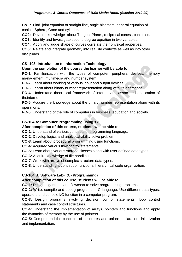### *Programme & Course Outcomes of B.Sc Maths Hons. (Session 2019-20)*

**Co 1:** Find joint equation of straight line, angle bisectors, general equation of conics, Sphere, Cone and cylinder.

**CO2:** Develop knowledge about Tangent Plane , reciprocal cones , conicoids.

**CO3:** Identify and Investigate second degree equation in two variables.

**CO4:** Apply and judge shape of curves correlate their physical properties.

**CO5:** Relate and integrate geometry into real life contexts as well as into other disciplines.

# **CS- 103: Introduction to Information Technology**

# **Upon the completion of the course the learner will be able to**

**PO-1**: Familiarization with the types of computer, peripheral devices, memory management, multimedia and number system.

**PO-2**: Learn about working of various input and output devices.

**PO-3**: Learnt about binary number representation along with its operations.

**PO-4**: Understand theoretical framework of internet and associated application of theinternet.

**PO-5**: Acquire the knowledge about the binary number representation along with its operations.

**PO-6**: Understand of the role of computers in business, education and society.

# **CS-104 A: Computer Programming using 'C'**

# **After completion of this course, students will be able to:**

**CO-1**: Understand of various concepts of programming language.

**CO-2**: Develop logics and analytical ability solve problem.

- **CO-3**: Learn about procedural programming using functions.
- **CO-4**: Acquired various flow control statements.

**CO-5**: Learn about various storage classes along with user defined data types.

- **CO-6:** Acquire knowledge of file handling
- **CO-7**: Work with arrays of complex structure data types.

**CO-8**: Understanding a concept of functional hierarchical code organization.

# **CS-104 B: Software Lab-I (C- Programming)**

# **After completion of this course, students will be able to:**

**CO-1:** Design algorithms and flowchart to solve programming problems.

**CO-2:** Write, compile and debug programs in C language. Use different data types, operators and console I/O function in a computer program.

**CO-3:** Design programs involving decision control statements, loop control statements and case control structures.

**CO-4:** Understand the implementation of arrays, pointers and functions and apply the dynamics of memory by the use of pointers.

**CO-5:** Comprehend the concepts of structures and union: declaration, initialization and implementation.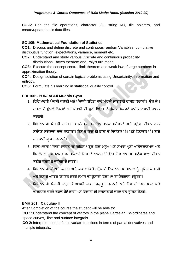**CO-6:** Use the file operations, character I/O, string I/O, file pointers, and create/update basic data files.

# **SC 105: Mathematical Foundation of Statistics**

**CO1:** Discuss and define discrete and continuous random Variables, cumulative distributive function, expectations, variance, moment etc.

**CO2:** Understand and study various Discrete and continuous probability distributions, Bayes theorem and Paly's urn model.

**CO3:** Execute the concept central limit theorem and weak law of large numbers in approximation theory.

**CO4:** Design solution of certain logical problems using Uncertainity, information and entropy.

**CO5:** Formulate his learning in statistical quality control.

# **PBI 106:- PUNJABI-I/ Mudhla Gyan**

- 1. ਵਿਦਿਆਰਥੀ ਪੰਜਾਬੀ ਕਹਾਣੀ ਅਤੇ ਪੰਜਾਬੀ ਕਵਿਤਾ ਬਾਰੇ ਮੁੱਢਲੀ ਜਾਣਕਾਰੀ ਹਾਸਲ ਕਰਨਗੇ। ਉਹ ਲੇਖ ਰਚਨਾ ਦੇ ਮੱਢਲੇ ਨਿਯਮਾਂ ਅਤੇ ਪੰਜਾਬੀ ਦੀ ਧਨੀ ਵਿਉਂਤ ਦੇ ਮੱਢਲੇ ਸੰਕਲਪਾਂ ਬਾਰੇ ਜਾਣਕਾਰੀ ਹਾਸਲ ਕਰਨਗੇ।
- 2. ਵਿਦਿਆਰਥੀ ਪੰਜਾਬੀ ਸਾਹਿਤ ਵਿਚਲੇ ਸਮਾਜ-ਸਭਿਆਚਾਰਕ ਸਰੋਕਾਰਾਂ ਅਤੇ ਮਨੁੱਖੀ ਜੀਵਨ ਨਾਲ ਸਬੰਧਤ ਸਰੋਕਾਰਾਂ ਬਾਰੇ ਜਾਣਨਗੇ। ਇਸ ਦੇ ਨਾਲ ਹੀ ਭਾਸ਼ਾ ਦੇ ਸਿਧਾਂਤਕ ਪੱਖ ਅਤੇ ਵਿਹਾਰਕ ਪੱਖ ਬਾਰੇ ਜਾਣਕਾਰੀ ਪਾਪਤ ਕਰਨਗੇ।
- 3. ਵਿਦਿਆਰਥੀ ਪੰਜਾਬੀ ਸਾਹਿਤ ਦੀ ਗਹਿਨ ਪੜ੍ਹਤ ਵਿਚੋਂ ਮਨੁੱਖ ਅਤੇ ਸਮਾਜ ਪ੍ਰਤੀ ਆਲੋਚਨਾਤਮਕ ਅਤੇ ਵਿਸਲੇਸ਼ਣੀ ਸੂਝ ਪ੍ਰਾਪਤ ਕਰ ਸਕਣਗੇ ਜਿਸ ਦੇ ਆਧਾਰ 'ਤੇ ਉਹ ਇਕ ਆਦਰਸ਼ ਮਨੁੱਖ ਵਾਲਾ ਜੀਵਨ ਬਤੀਤ ਕਰਨ ਦੇ ਕਾਬਿਲ ਹੋ ਜਾਣਗੇ।
- 4. ਵਿਦਿਆਰਥੀ ਪੰਜਾਬੀ ਕਹਾਣੀ ਅਤੇ ਕਵਿਤਾ ਵਿਚੋਂ ਮਨੁੱਖ ਦੇ ਇਕ ਆਦਰਸ਼ ਮਾਡਲ ਨੂੰ ਗਹਿਣ ਕਰਨਗੇ ਅਤੇ ਇਸ ਦੇ ਆਧਾਰ 'ਤੇ ਇਕ ਨਰੋਏ ਸਮਾਜ ਦੀ ਉਸਾਰੀ ਵਿਚ ਆਪਣਾ ਯੋਗਦਾਨ ਪਾਉਣਗੇ।
- 5. ਵਿਦਿਆਰਥੀ ਪੰਜਾਬੀ ਭਾਸ਼ਾ ਤੇ ਆਪਣੀ ਪਕੜ ਮਜ਼ਬੂਤ ਕਰਨਗੇ ਅਤੇ ਇਸ ਦੀ ਕਲਾਤਮਕ ਅਤੇ ਆਦਰਸ਼ਕ ਵਰਤੋਂ ਕਰਦੇ ਹੋਏ ਭਾਵਾਂ ਅਤੇ ਵਿਚਾਰਾਂ ਦੀ ਰਚਨਾਕਾਰੀ ਕਰਨ ਵੱਲ ਰਚਿਤ ਹੋਣਗੇ।

# **BMH 201: Calculus- II**

After Completion of the course the student will be able to:

**CO 1:** Understand the concept of vectors in the plane Cartesian Co-ordinates and space curves, line and surface integrals.

**CO 2:** Interpret in idea of multivariate functions in terms of partial derivatives and multiple integrals.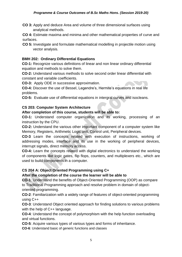**CO 3:** Apply and deduce Area and volume of three dimensional surfaces using analytical methods.

**CO 4:** Estimate maxima and minima and other mathematical properties of curve and surfaces.

**CO 5:** Investigate and formulate mathematical modelling in projectile motion using vector analysis.

# **BMH 202: Ordinary Differential Equations**

**CO-1:** Recognize various definitions of linear and non linear ordinary differential equation and methods to solve them.

**CO-2:** Understand various methods to solve second order linear differential with constant and variable coefficients.

**CO-3:** Apply ODE in successive approximation.

**CO-4:** Discover the use of Bessel, Legendre's, Hermite's equations in real life problems.

**CO-5:** Evaluate use of differential equations in intergral curves and isocleans.

# **CS 203: Computer System Architecture**

# **After completion of this course, students will be able to:**

**CO-1:** Understand computer organization and its working, processing of an instruction by the CPU.

**CO-2:** Understand the various other important component of a computer system like Memory, Registers, Arithmetic Logic unit, Control unit, Peripheral devices.

**CO-3** Learn the concepts related with execution of instructions, working of addressing modes, interface and its use in the working of peripheral devices, interrupt signals, direct memory access.

**CO-4:** Learn the concepts related with digital electronics to understand the working of components like logic gates, flip flops, counters, and multiplexers etc., which are used to build components in a computer.

# **CS 204 A: Object Oriented Programming using C+**

# **After the completion of the course the learner will be able to**

**CO-1**: Understand the benefits of Object-Oriented Programming (OOP) as compare to Traditional Programming approach and resolve problem in domain of objectoriented programming.

**CO-2**: Familiarization with a widely range of features of object-oriented programming using C++

**CO-3**: Understand Object oriented approach for finding solutions to various problems with the help of C++ language.

**CO-4**: Understand the concept of polymorphism with the help function overloading and virtual functions.

**CO-5**: Acquire various types of various types and forms of inheritance.

**CO-6**: Understand basic of generic functions and classes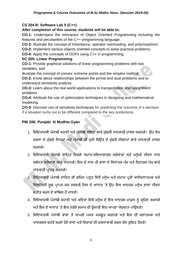# **CS 204 B: Software Lab II (C++)**

**After completion of this course, students will be able to:** 

**CO-1:** Understand the intricacies of Object Oriented Programming including the features and peculiarities of the C++ programming language.

**CO-2:** Illustrate the concept of Inheritance, operator overloading, and polymorphism.

**CO-3:** Implement various objects oriented concepts to solve practical problems.

**CO-4:** Apply the concepts of OOPs using C++ in programming.

# **SC 205: Linear Programming**

**CO-1:** Provide graphical solutions of linear programming problems with two variables, and

illustrate the concept of convex, extreme points and the simplex method

**CO-2:** Know about relationships between the primal and dual problems and to understand sensitivity analysis.

**CO-3:** Learn about the real world applications to transportation and assignment problems

**CO-4:** Attribute the use of optimization techniques in designing and mathematical modeking.

**CO-5:** Discover use of sensitivity techniques for predicting the outcome of a decision if a situation turns out to be different compared to the key predictions.

# **PBI 206: Punjabi II/ Mudhla Gyan**

- 1. ਵਿਦਿਆਰਥੀ ਪੰਜਾਬੀ ਕਹਾਣੀ ਅਤੇ ਪੰਜਾਬੀ ਕਵਿਤਾ ਬਾਰੇ ਮੱਢਲੀ ਜਾਣਕਾਰੀ ਹਾਸਲ ਕਰਨਗੇ। ਉਹ ਲੇਖ ਰਚਨਾ ਦੇ ਮੁੱਢਲੇ ਨਿਯਮਾਂ ਅਤੇ ਪੰਜਾਬੀ ਦੀ ਧੁਨੀ ਵਿਉਂਤ ਦੇ ਮੁੱਢਲੇ ਸੰਕਲਪਾਂ ਬਾਰੇ ਜਾਣਕਾਰੀ ਹਾਸਲ ਕਰਨਗੇ।
- 2. ਵਿਦਿਆਰਥੀ ਪੰਜਾਬੀ ਸਾਹਿਤ ਵਿਚਲੇ ਸਮਾਜ-ਸਭਿਆਚਾਰਕ ਸਰੋਕਾਰਾਂ ਅਤੇ ਮਨੁੱਖੀ ਜੀਵਨ ਨਾਲ ਸਬੰਧਤ ਸਰੋਕਾਰਾਂ ਬਾਰੇ ਜਾਣਨਗੇ। ਇਸ ਦੇ ਨਾਲ ਹੀ ਭਾਸ਼ਾ ਦੇ ਸਿਧਾਂਤਕ ਪੱਖ ਅਤੇ ਵਿਹਾਰਕ ਪੱਖ ਬਾਰੇ ਜਾਣਕਾਰੀ ਪਾਪਤ ਕਰਨਗੇ।
- 3. ਵਿਦਿਆਰਥੀ ਪੰਜਾਬੀ ਸਾਹਿਤ ਦੀ ਗਹਿਨ ਪੜ੍ਹਤ ਵਿਚੋਂ ਮਨੁੱਖ ਅਤੇ ਸਮਾਜ ਪ੍ਰਤੀ ਆਲੋਚਨਾਤਮਕ ਅਤੇ ਵਿਸਲੇਸ਼ਣੀ ਸੂਝ ਪ੍ਰਾਪਤ ਕਰ ਸਕਣਗੇ ਜਿਸ ਦੇ ਆਧਾਰ 'ਤੇ ਉਹ ਇਕ ਆਦਰਸ਼ ਮਨੁੱਖ ਵਾਲਾ ਜੀਵਨ ਬਤੀਤ ਕਰਨ ਦੇ ਕਾਬਿਲ ਹੋ ਜਾਣਗੇ।
- 4. ਵਿਦਿਆਰਥੀ ਪੰਜਾਬੀ ਕਹਾਣੀ ਅਤੇ ਕਵਿਤਾ ਵਿਚੋਂ ਮਨੁੱਖ ਦੇ ਇਕ ਆਦਰਸ਼ ਮਾਡਲ ਨੂੰ ਗਹਿਣ ਕਰਨਗੇ ਅਤੇ ਇਸ ਦੇ ਆਧਾਰ 'ਤੇ ਇਕ ਨਰੋਏ ਸਮਾਜ ਦੀ ਉਸਾਰੀ ਵਿਚ ਆਪਣਾ ਯੋਗਦਾਨ ਪਾਉਣਗੇ।
- 5. ਵਿਦਿਆਰਥੀ ਪੰਜਾਬੀ ਭਾਸ਼ਾ ਤੇ ਆਪਣੀ ਪਕੜ ਮਜ਼ਬੂਤ ਕਰਨਗੇ ਅਤੇ ਇਸ ਦੀ ਕਲਾਤਮਕ ਅਤੇ ਆਦਰਸ਼ਕ ਵਰਤੋਂ ਕਰਦੇ ਹੋਏ ਭਾਵਾਂ ਅਤੇ ਵਿਚਾਰਾਂ ਦੀ ਰਚਨਾਕਾਰੀ ਕਰਨ ਵੱਲ ਰਚਿਤ ਹੋਣਗੇ।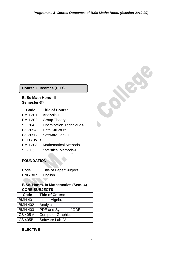**SERVICE** 

# **Course Outcomes (COs)**

## **B. Sc Math Hons - II Semester-3 rd**

| Code             | <b>Title of Course</b>           |
|------------------|----------------------------------|
| <b>BMH 301</b>   | Analysis-I                       |
| <b>BMH 302</b>   | <b>Group Theory</b>              |
| SC 304           | <b>Optimization Techniques-I</b> |
| <b>CS 305A</b>   | Data Structure                   |
| <b>CS 305B</b>   | Software Lab-III                 |
| <b>ELECTIVES</b> |                                  |
| <b>BMH 303</b>   | <b>Mathematical Methods</b>      |
| SC-306           | <b>Statistical Methods-I</b>     |

# **FOUNDATION**

| Code           | <b>Title of Paper/Subject</b> |
|----------------|-------------------------------|
| <b>ENG 307</b> | ∣ English                     |

# **B.Sc. Honrs. In Mathematics (Sem.-4) CORE SUBJECTS**

| Code            | <b>Title of Course</b>   |
|-----------------|--------------------------|
| <b>BMH 401</b>  | Linear Algebra           |
| <b>BMH 402</b>  | Analysis-II              |
| <b>BMH 403</b>  | PDE and System of ODE    |
| <b>CS 405 A</b> | <b>Computer Graphics</b> |
| <b>CS 405B</b>  | Software Lab-IV          |

# **ELECTIVE**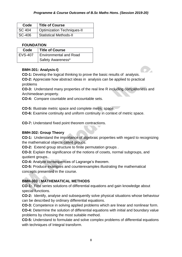| Code          | <b>Title of Course</b>            |
|---------------|-----------------------------------|
| <b>SC 404</b> | <b>Optimization Techniques-II</b> |
| $\mid$ SC-406 | <b>Statistical Methods-II</b>     |

# **FOUNDATION**

| Code      | <b>Title of Course</b>        |
|-----------|-------------------------------|
| l EVS-407 | <b>Environmental and Road</b> |
|           | Safety Awareness*             |

# **BMH-301: Analysis-I)**

**CO-1:** Develop the logical thinking to prove the basic results of analysis.

**CO-2:** Appreciate how abstract ideas in analysis can be applied to practical problems

**CO-3:** Understand many properties of the real line R including completeness and Archimedean property.

**CO-4:** Compare countable and uncountable sets.

**CO-5:** Illustrate metric space and complete metric space.

**CO-6:** Examine continuity and uniform continuity in context of metric space.

**CO-7:** Understand fixed point theorem contractions.

# **BMH-302: Group Theory**

**CO-1:** Understand the importance of algebraic properties with regard to recognizing the mathematical objects called groups.

**CO-2:** Extend group structure to finite permutation groups .

**CO-3:** Explain the significance of the notions of cosets, normal subgroups, and quotient groups..

**CO-4:** Analyze consequences of Lagrange's theorem.

**CO-5:** Produce examples and counterexamples illustrating the mathematical concepts presented in the course.

# **BMH-303 : MATHEMATICAL METHODS**

**CO-1:** Find series solutions of differential equations and gain knowledge about special functions.

**CO-2:** Identify, analyse and subsequently solve physical situations whose behaviour can be described by ordinary differential equations.

**CO-3:** Competence in solving applied problems which are linear and nonlinear form.

**CO-4:** Determine the solution of differential equations with initial and boundary value problems by choosing the most suitable method.

**CO-5:** Understand to formulate and solve complex problems of differential equations with techniques of Integral transform.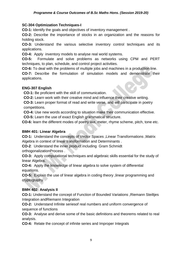#### *Programme & Course Outcomes of B.Sc Maths Hons. (Session 2019-20)*

## **SC-304 Optimization Techniques-I**

**CO-1:** Identify the goals and objectives of inventory management .

**CO-2:** Describe the importance of stocks in an organization and the reasons for holding stock.

**CO-3:** Understand the various selective inventory control techniques and its applications.

**CO-4:** Apply inventory models to analyse real world systems.

**CO-5:** Formulate and solve problems as networks using CPM and PERT techniques, to plan, schedule, and control project activities.

**CO-6:** To deal with the problems of multiple jobs and machines in a production line.

**CO-7:** Describe the formulation of simulation models and demonstrate their applications.

# **ENG-307 English**

**CO-1:** Be proficient with the skill of communication.

**CO-2:** Learn work with their creative mind and influence their creative writing.

**CO-3:** Learn proper format of read and write verse, and will participate in poetry competitions.

**CO-4:** Use new words according to situation make their communication effective.

**CO-5:** Learn the use of exact English grammatical structure.

**CO-6:** learn the different modes of poetry like, meter, rhyme scheme, pitch, tone etc.

#### **BMH 401: Linear Algebra**

**CO-1:** Understand the concepts of Vector Spaces ,Linear Transformations ,Matrix Algebra in context of linear transformation and Determinants .

**CO-2**: Understand the inner product including Gram Schmidt orthogonalizationProcess .

**CO-3:** Apply computational techniques and algebraic skills essential for the study of linear Algebra.

**CO-4:** Apply the knowledge of linear algebra to solve system of differential equations.

**CO-5:** Explain the use of linear algebra in coding theory ,linear programming and cryptography.

# **BMH 402: Analysis II**

**CO-1:** Understand the concept of Function of Bounded Variations ,Riemann Steiltjes Integration andRiemann Integration

**CO-2:** Understand Infinite seriesof real numbers and uniform convergence of sequence of functions

**CO-3:** Analyse and derive some of the basic definitions and theorems related to real analysis.

**CO-4:** Relate the concept of infinite series and Improper Integrals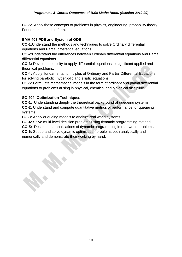#### *Programme & Course Outcomes of B.Sc Maths Hons. (Session 2019-20)*

**CO-5:** Apply these concepts to problems in physics, engineering, probability theory, Fourierseries, and so forth.

# **BMH 403 PDE and System of ODE**

**CO-1:**Understand the methods and techniques to solve Ordinary differential equations and Partial differential equations .

**CO-2:**Understand the differences between Ordinary differential equations and Partial differential equations.

**CO-3:** Develop the ability to apply differential equations to significant applied and theortical problems.

**CO-4:** Apply fundamental principles of Ordinary and Partial Differential Equations for solving parabolic, hyperbolic and elliptic equations.

**CO-5:** Formulate mathematical models in the form of ordinary and partial differential equations to problems arising in physical, chemical and biological discipline.

# **SC-404: Optimization Techniques-II**

**CO-1:** Understanding deeply the theoretical background of queueing systems. **CO-2:** Understand and compute quantitative metrics of performance for queueing systems.

**CO-3:** Apply queueing models to analyze real world systems.

**CO-4:** Solve multi-level decision problems using dynamic programming method.

**CO-5:** Describe the applications of dynamic programming in real-world problems.

**CO-6:** Set up and solve dynamic optimization problems both analytically and numerically and demonstrate their working by hand.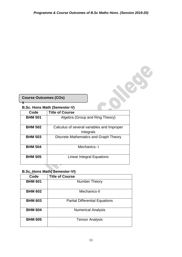# **B.Sc. Hons Math (Semester-V)**

| <b>Course Outcomes (COs)</b> |                                                         |  |
|------------------------------|---------------------------------------------------------|--|
|                              | <b>B.Sc. Hons Math (Semester-V)</b>                     |  |
| Code                         | <b>Title of Course</b>                                  |  |
| <b>BHM 501</b>               | Algebra (Group and Ring Theory)                         |  |
| <b>BHM 502</b>               | Calculus of several variables and Improper<br>Integrals |  |
| <b>BHM 503</b>               | Discrete Mathematics and Graph Theory                   |  |
| <b>BHM 504</b>               | Mechanics-I                                             |  |
| <b>BHM 505</b>               | <b>Linear Integral Equations</b>                        |  |

# **B.Sc. Hons Math( Semester-VI)**

| Code           | <b>Title of Course</b>                |
|----------------|---------------------------------------|
| <b>BHM 601</b> | Number Theory                         |
| <b>BHM 602</b> | Mechanics-II                          |
| <b>BHM 603</b> | <b>Partial Differential Equations</b> |
| <b>BHM 604</b> | <b>Numerical Analysis</b>             |
| <b>BHM 605</b> | <b>Tensor Analysis</b>                |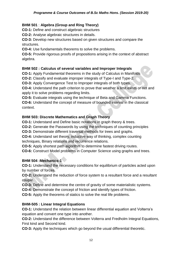# **BHM 501** : **Algebra (Group and Ring Theory)**

**CO-1:** Define and construct algebraic structures

**CO-2:** Analyse algebraic structures in details.

**CO-3:** Develop new structures based on given structures and compare the structures.

**CO-4:** Use fundamentals theorems to solve the problems.

**CO-5:** Provide rigorous proofs of propositions arising in the context of abstract algebra.

# **BHM 502 : Calculus of several variables and Improper Integrals**

**CO-1:** Apply Fundamental theorems in the study of Calculus in Manifolds

**CO-2:** Classify and evaluate improper integrals of Type-I and Type-2.

**CO-3:** Apply Convergence Test to Improper integrals of both types.

**CO-4:** Understand the path criterion to prove that weather a limit exists or not and apply it to solve problems regarding limits.

**CO-5:** Evaluate integrals using the technique of Beta and Gamma Functions.

**CO-6:** Understand the concept of measure of bounded interval in the classical context.

# **BHM 503: Discrete Mathematics and Graph Theory**

**CO-1:** Understand and Define basic notations in graph theory & trees.

**CO-2:** Generate the Passwords by using the techniques of counting principles

**CO-3:** Demonstrate different traversal methods for trees and graphs.

**CO-4:** Understand set theory, inductive way of thinking, complex counting techniques, Binary relations and recurrence relations.

**CO-5:** Apply shortest path algorithm to determine fastest driving routes.

**CO-6:** Construct Model problems in Computer Science using graphs and trees.

# **BHM 504 :Mechanics-1**

**CO-1:** Understand the necessary conditions for equilibrium of particles acted upon by number of forces.

**CO-2:** Understand the reduction of force system to a resultant force and a resultant couple.

**CO-3:** Define and determine the centre of gravity of some materialistic systems.

**CO-4:** Demonstrate the concept of friction and identify types of friction.

**CO-5:** Apply the theorems of statics to solve the real life problems.

# **BHM-505 : Linear Integral Equations**

**CO-1:** Understand the relation between linear differential equation and Volterra's equation and convert one type into another.

**CO-2:** Understand the difference between Volterra and Fredholm Integral Equations, First kind and Second kind.

**CO-3:** Apply the techniques which go beyond the usual differential theoretic.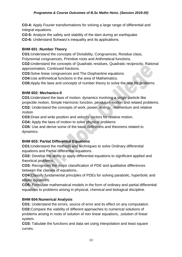**CO-4:** Apply Fourier transformations for solving a large range of differential and integral equations.

**CO-5:** Analyze the safety and stability of the dam during an earthquake

**CO-6:** Understand Schwarz's inequality and its applications.

# **BHM 601 :Number Theory**

**CO1:**Understand the concepts of Divisibility, Congruences, Residue class, Polynomial congruences, Primitive roots and Arithmetical functions.

**CO2:**Understand the concepts of Quadratic residues, Quadratic reciprocity, Rational approximation, Continued fractions.

**CO3:**Solve linear congruences and The Diophantine equations.

**CO4:**Use arithmetical functions in the area of Mathematics.

**CO5:**Apply the laws and concepts of number theory to solve the real life problems

# **BHM 602: Mechanics-II**

**CO1:**Understand the laws of motion. dynamics involving a single particle like projectile motion, Simple Harmonic function, pendulum motion and related problems. **CO2:** Understand the concepts of work, power, energy , momentum and relative motion

**CO3:**Draw and write position and velocity vectors for relative motion.

**CO4:** Apply the laws of motion to solve physical problems

**CO5:** Use and derive some of the basic definitions and theorems related to dynamics.

# **BHM 603: Partial Differential Equations**

**CO1:**Understand the methods and techniques to solve Ordinary differential equations and Partial differential equations .

**CO2:** Develop the ability to apply differential equations to significant applied and theortical problems.

**CO3:** Recognizes the major classification of PDE and qualitative differences between the classes of equations..

**CO4:**Classify fundamental principles of PDEs for solving parabolic, hyperbolic and elliptic equations.

**CO5:** Formulate mathematical models in the form of ordinary and partial differential equations to problems arising in physical, chemical and biological discipline.

# **BHM 604:Numerical Analysis**

**CO1:** Understand the errors, source of error and its effect on any computation. **CO2:**Compare the viability of different approaches to numerical solutions of problems arising in roots of solution of non linear equations, ,solution of linear system.

**CO3:** Tabulate the functions and data set using interpolation and least square curves.